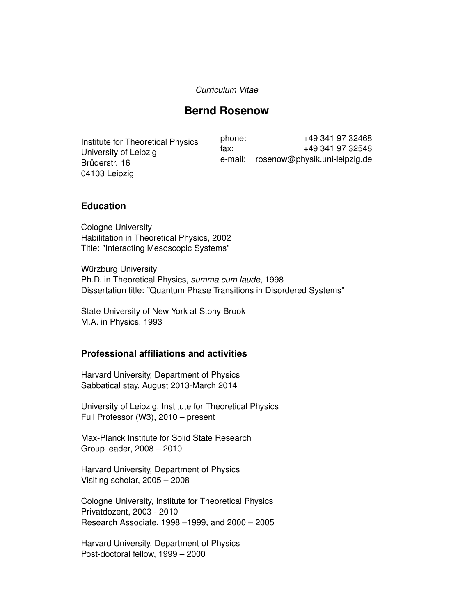#### *Curriculum Vitae*

# **Bernd Rosenow**

Institute for Theoretical Physics University of Leipzig Brüderstr. 16 04103 Leipzig

phone: +49 341 97 32468 fax: +49 341 97 32548 e-mail: rosenow@physik.uni-leipzig.de

#### **Education**

Cologne University Habilitation in Theoretical Physics, 2002 Title: "Interacting Mesoscopic Systems"

Würzburg University Ph.D. in Theoretical Physics, *summa cum laude*, 1998 Dissertation title: "Quantum Phase Transitions in Disordered Systems"

State University of New York at Stony Brook M.A. in Physics, 1993

### **Professional affiliations and activities**

Harvard University, Department of Physics Sabbatical stay, August 2013-March 2014

University of Leipzig, Institute for Theoretical Physics Full Professor (W3), 2010 – present

Max-Planck Institute for Solid State Research Group leader, 2008 – 2010

Harvard University, Department of Physics Visiting scholar, 2005 – 2008

Cologne University, Institute for Theoretical Physics Privatdozent, 2003 - 2010 Research Associate, 1998 –1999, and 2000 – 2005

Harvard University, Department of Physics Post-doctoral fellow, 1999 – 2000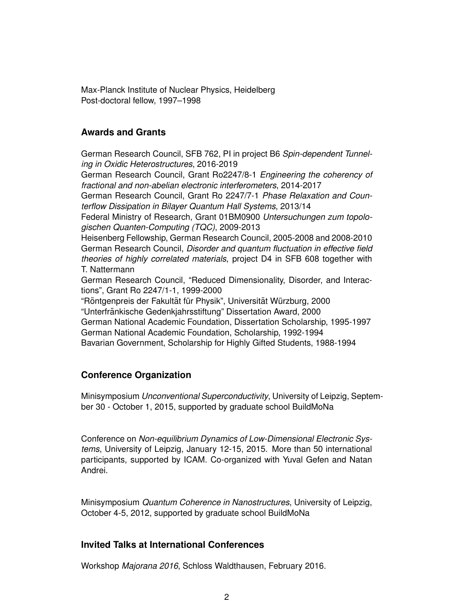Max-Planck Institute of Nuclear Physics, Heidelberg Post-doctoral fellow, 1997–1998

### **Awards and Grants**

German Research Council, SFB 762, PI in project B6 *Spin-dependent Tunneling in Oxidic Heterostructures*, 2016-2019

German Research Council, Grant Ro2247/8-1 *Engineering the coherency of fractional and non-abelian electronic interferometers*, 2014-2017

German Research Council, Grant Ro 2247/7-1 *Phase Relaxation and Counterflow Dissipation in Bilayer Quantum Hall Systems*, 2013/14

Federal Ministry of Research, Grant 01BM0900 *Untersuchungen zum topologischen Quanten-Computing (TQC)*, 2009-2013

Heisenberg Fellowship, German Research Council, 2005-2008 and 2008-2010 German Research Council, *Disorder and quantum fluctuation in effective field theories of highly correlated materials*, project D4 in SFB 608 together with T. Nattermann

German Research Council, "Reduced Dimensionality, Disorder, and Interactions", Grant Ro 2247/1-1, 1999-2000

"Röntgenpreis der Fakultät für Physik", Universität Würzburg, 2000 "Unterfrankische Gedenkjahrsstiftung" Dissertation Award, 2000 ¨ German National Academic Foundation, Dissertation Scholarship, 1995-1997 German National Academic Foundation, Scholarship, 1992-1994 Bavarian Government, Scholarship for Highly Gifted Students, 1988-1994

### **Conference Organization**

Minisymposium *Unconventional Superconductivity*, University of Leipzig, September 30 - October 1, 2015, supported by graduate school BuildMoNa

Conference on *Non-equilibrium Dynamics of Low-Dimensional Electronic Systems*, University of Leipzig, January 12-15, 2015. More than 50 international participants, supported by ICAM. Co-organized with Yuval Gefen and Natan Andrei.

Minisymposium *Quantum Coherence in Nanostructures*, University of Leipzig, October 4-5, 2012, supported by graduate school BuildMoNa

## **Invited Talks at International Conferences**

Workshop *Majorana 2016*, Schloss Waldthausen, February 2016.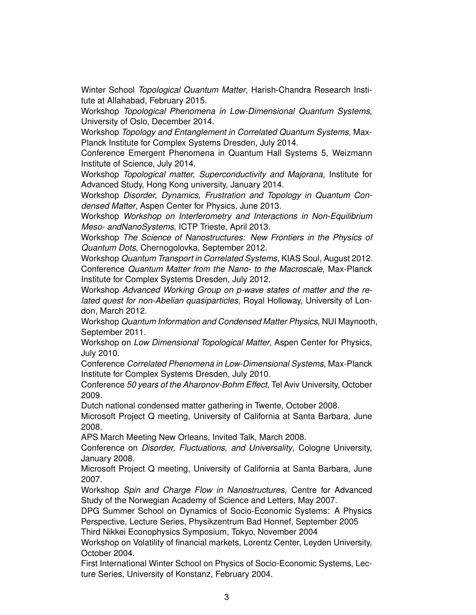Winter School *Topological Quantum Matter*, Harish-Chandra Research Institute at Allahabad, February 2015.

Workshop *Topological Phenomena in Low-Dimensional Quantum Systems*, University of Oslo, December 2014.

Workshop *Topology and Entanglement in Correlated Quantum Systems*, Max-Planck Institute for Complex Systems Dresden, July 2014.

Conference Emergent Phenomena in Quantum Hall Systems 5, Weizmann Institute of Science, July 2014.

Workshop *Topological matter, Superconductivity and Majorana*, Institute for Advanced Study, Hong Kong university, January 2014.

Workshop *Disorder, Dynamics, Frustration and Topology in Quantum Condensed Matter*, Aspen Center for Physics, June 2013.

Workshop *Workshop on Interferometry and Interactions in Non-Equilibrium Meso- andNanoSystems*, ICTP Trieste, April 2013.

Workshop *The Science of Nanostructures: New Frontiers in the Physics of Quantum Dots*, Chernogolovka, September 2012.

Workshop *Quantum Transport in Correlated Systems*, KIAS Soul, August 2012. Conference *Quantum Matter from the Nano- to the Macroscale*, Max-Planck Institute for Complex Systems Dresden, July 2012.

Workshop *Advanced Working Group on p-wave states of matter and the related quest for non-Abelian quasiparticles*, Royal Holloway, University of London, March 2012.

Workshop *Quantum Information and Condensed Matter Physics*, NUI Maynooth, September 2011.

Workshop on *Low Dimensional Topological Matter*, Aspen Center for Physics, July 2010.

Conference *Correlated Phenomena in Low-Dimensional Systems*, Max-Planck Institute for Complex Systems Dresden, July 2010.

Conference *50 years of the Aharonov-Bohm Effect*, Tel Aviv University, October 2009.

Dutch national condensed matter gathering in Twente, October 2008.

Microsoft Project Q meeting, University of California at Santa Barbara, June 2008.

APS March Meeting New Orleans, Invited Talk, March 2008.

Conference on *Disorder, Fluctuations, and Universality*, Cologne University, January 2008.

Microsoft Project Q meeting, University of California at Santa Barbara, June 2007.

Workshop *Spin and Charge Flow in Nanostructures*, Centre for Advanced Study of the Norwegian Academy of Science and Letters, May 2007.

DPG Summer School on Dynamics of Socio-Economic Systems: A Physics Perspective, Lecture Series, Physikzentrum Bad Honnef, September 2005

Third Nikkei Econophysics Symposium, Tokyo, November 2004

Workshop on Volatility of financial markets, Lorentz Center, Leyden University, October 2004.

First International Winter School on Physics of Socio-Economic Systems, Lecture Series, University of Konstanz, February 2004.